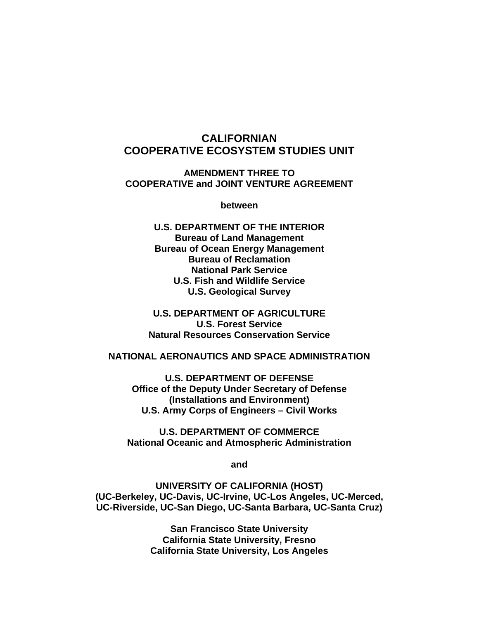# **CALIFORNIAN COOPERATIVE ECOSYSTEM STUDIES UNIT**

**AMENDMENT THREE TO COOPERATIVE and JOINT VENTURE AGREEMENT** 

**between** 

**U.S. DEPARTMENT OF THE INTERIOR Bureau of Land Management Bureau of Ocean Energy Management Bureau of Reclamation National Park Service U.S. Fish and Wildlife Service U.S. Geological Survey** 

**U.S. DEPARTMENT OF AGRICULTURE U.S. Forest Service Natural Resources Conservation Service** 

#### **NATIONAL AERONAUTICS AND SPACE ADMINISTRATION**

**U.S. DEPARTMENT OF DEFENSE Office of the Deputy Under Secretary of Defense (Installations and Environment) U.S. Army Corps of Engineers – Civil Works** 

**U.S. DEPARTMENT OF COMMERCE National Oceanic and Atmospheric Administration** 

**and** 

**UNIVERSITY OF CALIFORNIA (HOST) (UC-Berkeley, UC-Davis, UC-Irvine, UC-Los Angeles, UC-Merced, UC-Riverside, UC-San Diego, UC-Santa Barbara, UC-Santa Cruz)** 

> **San Francisco State University California State University, Fresno California State University, Los Angeles**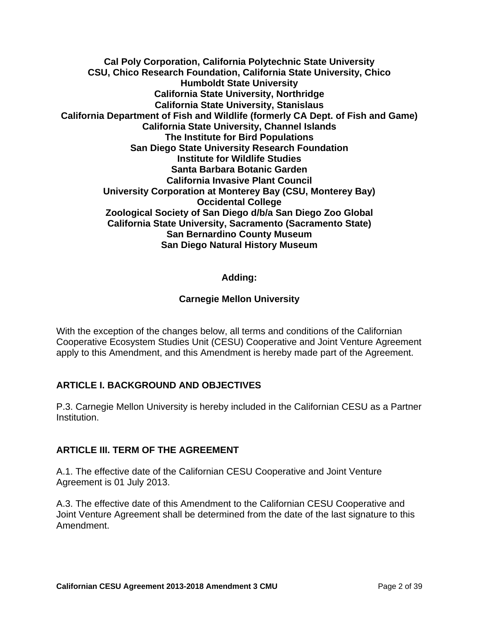**Cal Poly Corporation, California Polytechnic State University CSU, Chico Research Foundation, California State University, Chico Humboldt State University California State University, Northridge California State University, Stanislaus California Department of Fish and Wildlife (formerly CA Dept. of Fish and Game) California State University, Channel Islands The Institute for Bird Populations San Diego State University Research Foundation Institute for Wildlife Studies Santa Barbara Botanic Garden California Invasive Plant Council University Corporation at Monterey Bay (CSU, Monterey Bay) Occidental College Zoological Society of San Diego d/b/a San Diego Zoo Global California State University, Sacramento (Sacramento State) San Bernardino County Museum San Diego Natural History Museum** 

## **Adding:**

#### **Carnegie Mellon University**

With the exception of the changes below, all terms and conditions of the Californian Cooperative Ecosystem Studies Unit (CESU) Cooperative and Joint Venture Agreement apply to this Amendment, and this Amendment is hereby made part of the Agreement.

#### **ARTICLE I. BACKGROUND AND OBJECTIVES**

P.3. Carnegie Mellon University is hereby included in the Californian CESU as a Partner Institution.

#### **ARTICLE III. TERM OF THE AGREEMENT**

A.1. The effective date of the Californian CESU Cooperative and Joint Venture Agreement is 01 July 2013.

A.3. The effective date of this Amendment to the Californian CESU Cooperative and Joint Venture Agreement shall be determined from the date of the last signature to this Amendment.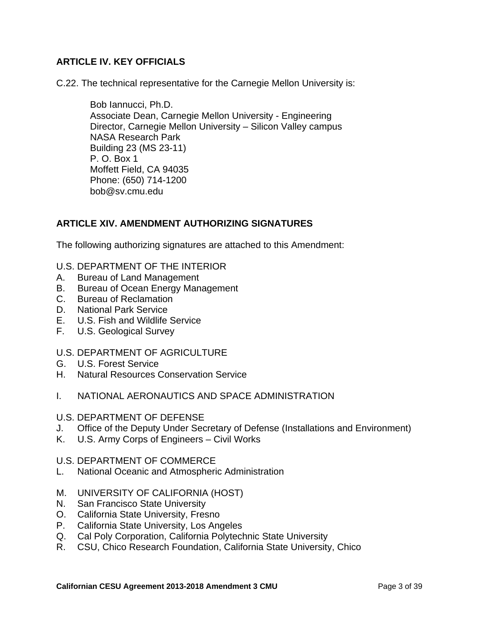## **ARTICLE IV. KEY OFFICIALS**

C.22. The technical representative for the Carnegie Mellon University is:

Bob Iannucci, Ph.D. Associate Dean, Carnegie Mellon University - Engineering Director, Carnegie Mellon University – Silicon Valley campus NASA Research Park Building 23 (MS 23-11) P. O. Box 1 Moffett Field, CA 94035 Phone: (650) 714-1200 bob@sv.cmu.edu

#### **ARTICLE XIV. AMENDMENT AUTHORIZING SIGNATURES**

The following authorizing signatures are attached to this Amendment:

- U.S. DEPARTMENT OF THE INTERIOR
- A. Bureau of Land Management
- B. Bureau of Ocean Energy Management
- C. Bureau of Reclamation
- D. National Park Service
- E. U.S. Fish and Wildlife Service
- F. U.S. Geological Survey

#### U.S. DEPARTMENT OF AGRICULTURE

- G. U.S. Forest Service
- H. Natural Resources Conservation Service
- I. NATIONAL AERONAUTICS AND SPACE ADMINISTRATION

#### U.S. DEPARTMENT OF DEFENSE

- J. Office of the Deputy Under Secretary of Defense (Installations and Environment)
- K. U.S. Army Corps of Engineers Civil Works

#### U.S. DEPARTMENT OF COMMERCE

- L. National Oceanic and Atmospheric Administration
- M. UNIVERSITY OF CALIFORNIA (HOST)
- N. San Francisco State University
- O. California State University, Fresno
- P. California State University, Los Angeles
- Q. Cal Poly Corporation, California Polytechnic State University
- R. CSU, Chico Research Foundation, California State University, Chico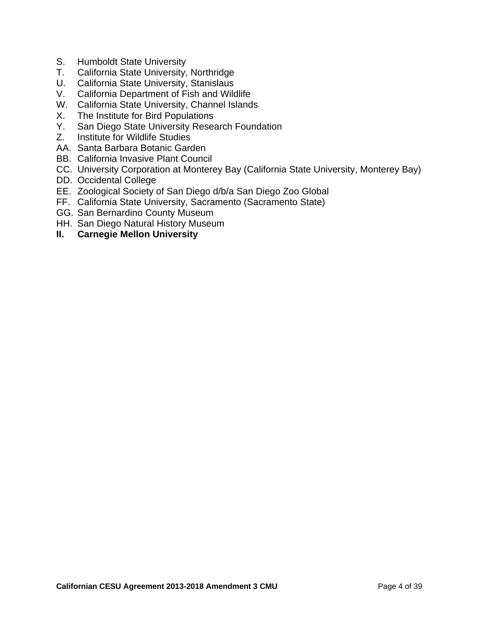- S. Humboldt State University
- T. California State University, Northridge
- U. California State University, Stanislaus
- V. California Department of Fish and Wildlife
- W. California State University, Channel Islands
- X. The Institute for Bird Populations
- Y. San Diego State University Research Foundation
- Z. Institute for Wildlife Studies
- AA. Santa Barbara Botanic Garden
- BB. California Invasive Plant Council
- CC. University Corporation at Monterey Bay (California State University, Monterey Bay)
- DD. Occidental College
- EE. Zoological Society of San Diego d/b/a San Diego Zoo Global
- FF. California State University, Sacramento (Sacramento State)
- GG. San Bernardino County Museum
- HH. San Diego Natural History Museum
- **II. Carnegie Mellon University**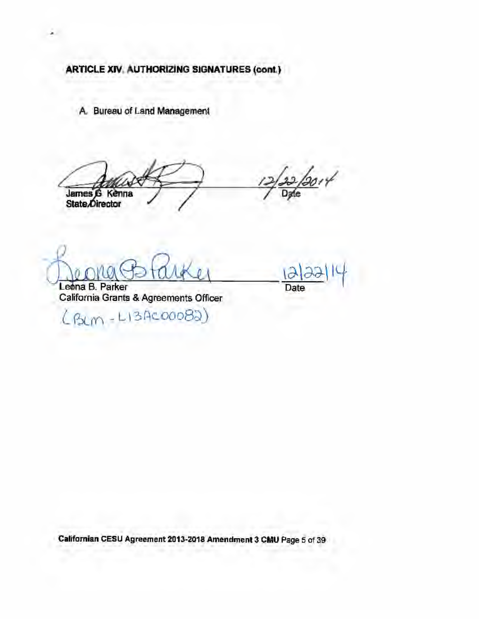A. Bureau of Land Management

 $10014$ James G Kenna<br>State/Director

Leona B. Parker California Grants & Agreements Officer

(BLM-LIBAC00082)

Date

Californian CESU Agreement 2013-2018 Amendment 3 CMU Page 5 of 39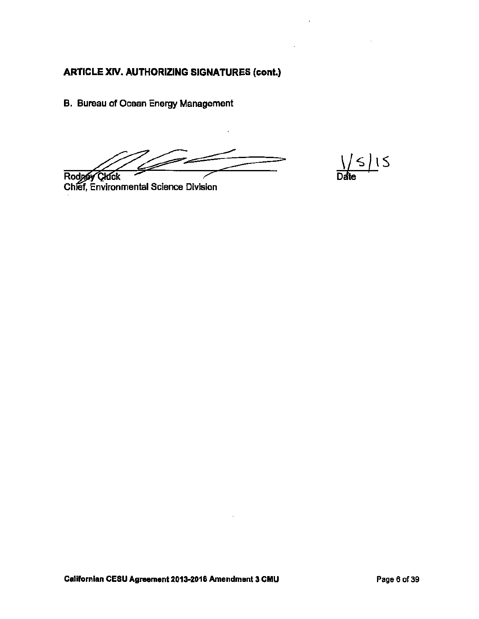B. Bureau of Ocean Energy Management

Rodgey Cluck

Chief, Environmental Science Division

 $\frac{1}{\text{Date}}$  15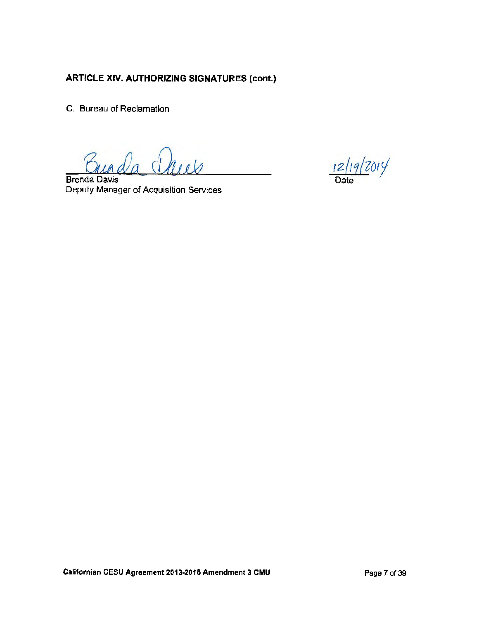C. Bureau of Reclamation

**Brenda Davis** Deputy Manager of Acquisition Services

 $\frac{12/19}{\text{Date}}$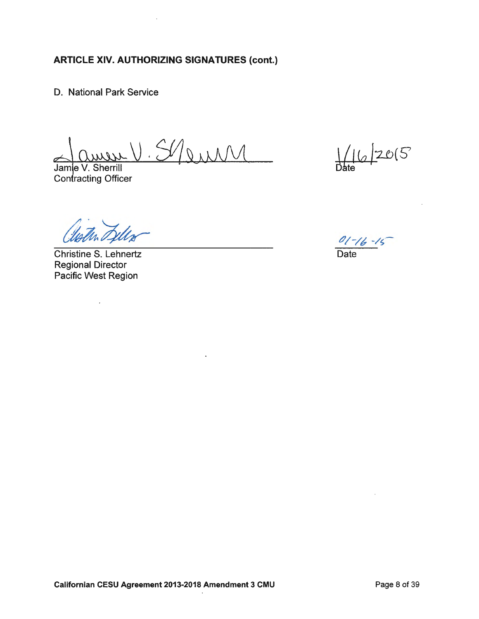D. National Park Service

Muil

 $\ddot{\phantom{0}}$ 

Jamle V. Sherrill Contracting Officer

Christine S. Lehnertz **Regional Director** Pacific West Region

 $\mathcal{L}^{\pm}$ 

 $16/205$ 

 $\frac{01-16-15}{\text{Date}}$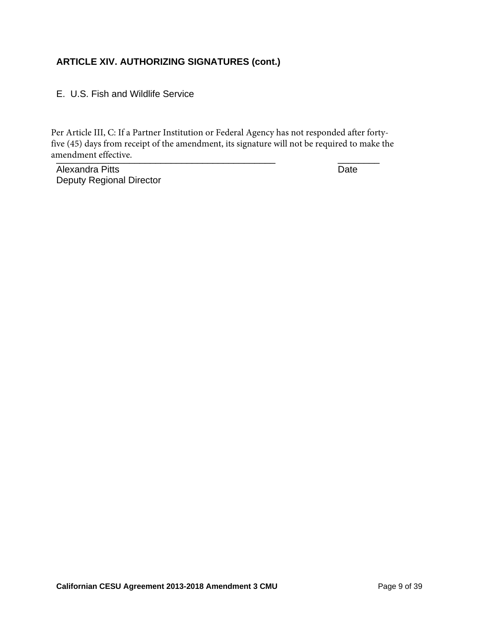E. U.S. Fish and Wildlife Service

\_\_\_\_\_\_\_\_\_\_\_\_\_\_\_\_\_\_\_\_\_\_\_\_\_\_\_\_\_\_\_\_\_\_\_\_\_\_\_\_\_\_ \_\_\_\_\_\_\_\_ amendment effective.Per Article III, C: If a Partner Institution or Federal Agency has not responded after fortyfive (45) days from receipt of the amendment, its signature will not be required to make the

Alexandra Pitts **Date** Deputy Regional Director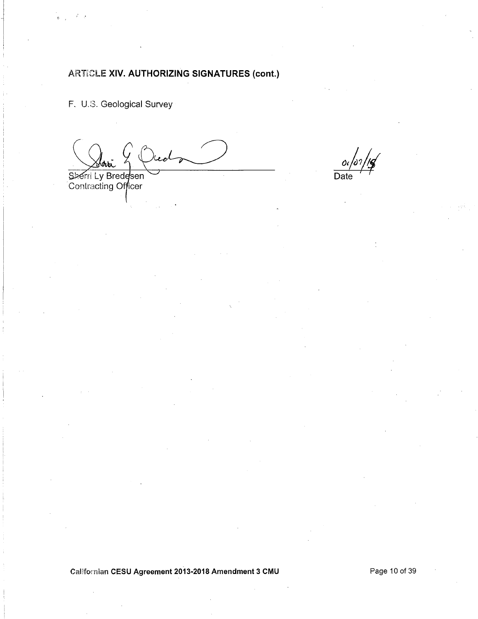F. U.S. Geological Survey

Sherri Ly Bredesen<br>Contracting Officer

 $/$ or/1**o** Dε

Californian CESU Agreement 2013-2018 Amendment 3 CMU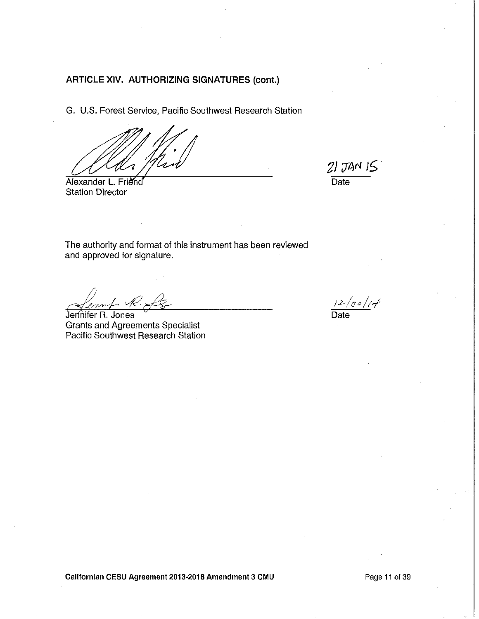G. U.S. Forest Service, Pacific Southwest Research Station

Alexander L. Friend **Station Director** 

 $21$  JAN  $15$ Date

The authority and format of this instrument has been reviewed and approved for signature.

Jennifer R. Jones Grants and Agreements Specialist<br>Pacific Southwest Research Station

 $12/30/14$ Date

Californian CESU Agreement 2013-2018 Amendment 3 CMU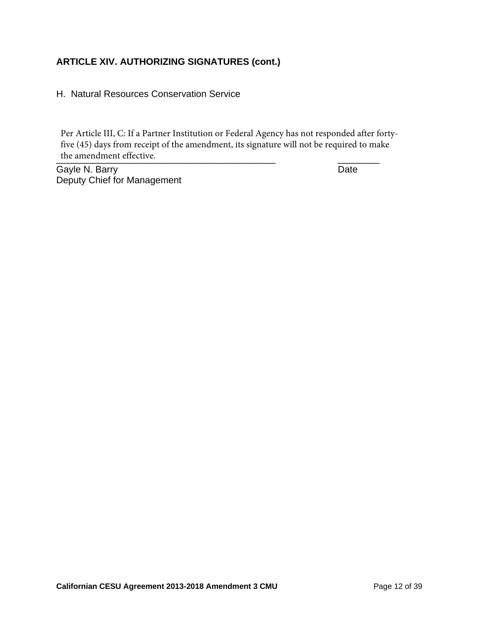H. Natural Resources Conservation Service

the amendment effective. Per Article III, C: If a Partner Institution or Federal Agency has not responded after fortyfive (45) days from receipt of the amendment, its signature will not be required to make

Gayle N. Barry **Date** Deputy Chief for Management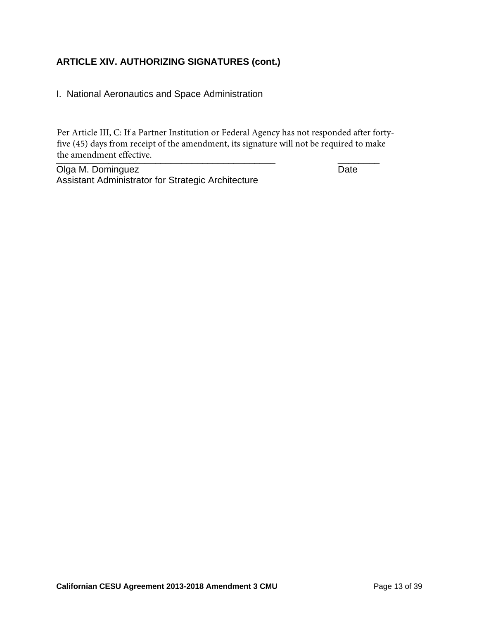I. National Aeronautics and Space Administration

the amendment effective. Per Article III, C: If a Partner Institution or Federal Agency has not responded after fortyfive (45) days from receipt of the amendment, its signature will not be required to make

Olga M. Dominguez **Date** Assistant Administrator for Strategic Architecture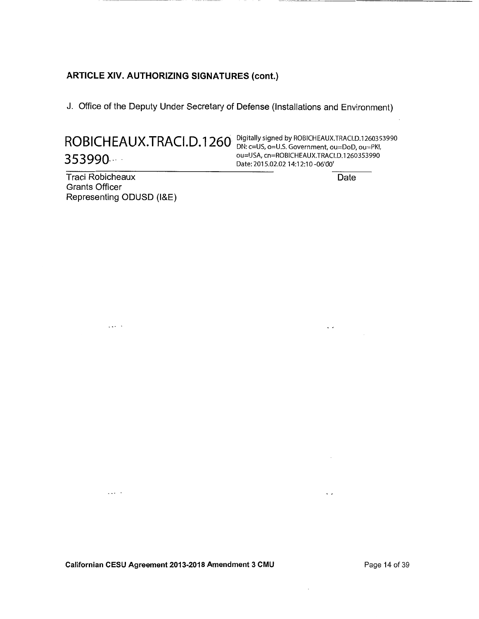J. Office of the Deputy Under Secretary of Defense (Installations and Environment)

ROBICHEAUX.TRACI.D.1260 Digitally signed by ROBICHEAUX.TRACI.D.1260353990 353990

ou=USA, cn=ROBICHEAUX.TRACI.D.1260353990 Date: 2015.02.02 14:12:10 -06'00'

Traci Robicheaux **Grants Officer** Representing ODUSD (I&E)

 $\mathbb{R}^{2n+1}$  .

 $\Box$  .

Date

 $\ddot{\phantom{0}}$ 

 $\ddot{\phantom{0}}$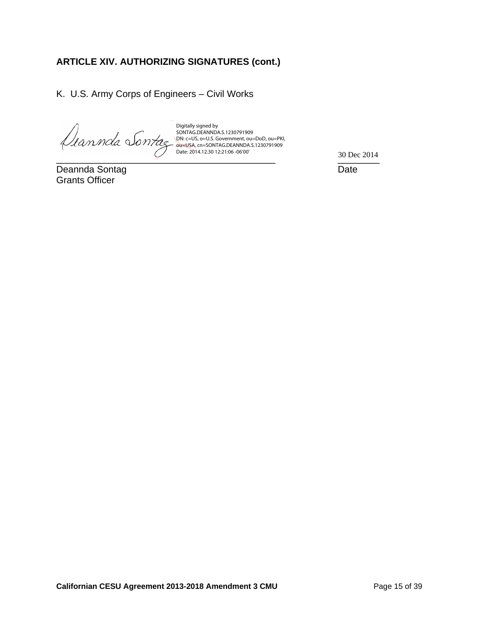K. U.S. Army Corps of Engineers – Civil Works

Digitally signed by SONTAG.DEANNDA.S.1230791909 DN: c=US, o=U.S. Government, ou=DoD, ou=PKI, ou=USA, cn=SONTAG.DEANNDA.S.1230791909 Date: 2014.12.30 12:21:06 -06'00'

Deannda Sontag **Date** Grants Officer

 $\frac{30 \text{ Dec } 2014}{\frac{300 \text{ Dec } 2014}{\frac{300 \text{ loc } 2014}{\frac{300 \text{ loc } 2014}{\frac{300 \text{ loc } 2014}{\frac{300 \text{ loc } 2014}{\frac{300 \text{ loc } 2014}{\frac{300 \text{ loc } 2014}{\frac{300 \text{ loc } 2014}{\frac{300 \text{ loc } 2014}{\frac{300 \text{ loc } 2014}{\frac{300 \text{ loc } 2014}{\frac{300 \text{ loc } 2014}{$ 30 Dec 2014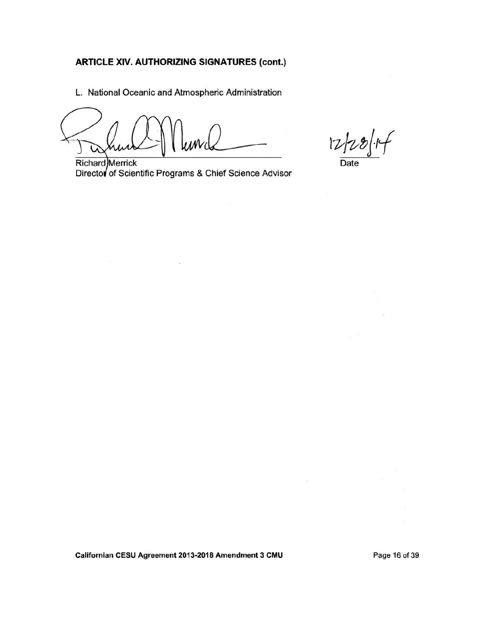L. National Oceanic and Atmospheric Administration

 $12$ 

**Richard** Merrick Director of Scientific Programs & Chief Science Advisor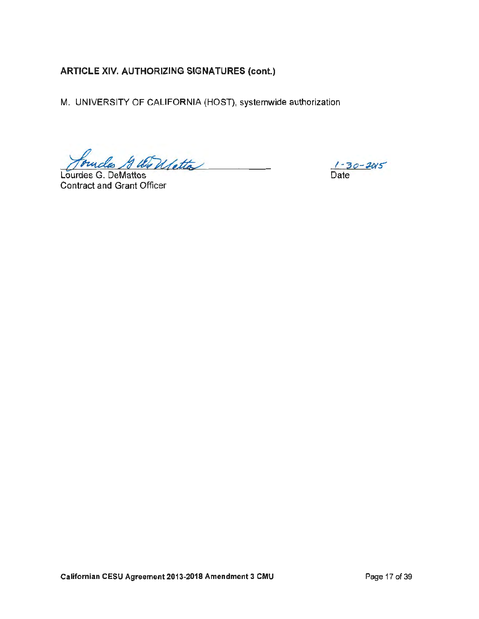M. UNIVERSITY OF CALIFORNIA (HOST), systemwide authorization

founded & Willette

Lourdes G. DeMattos **Contract and Grant Officer** 

 $1 - 30 - 205$ Date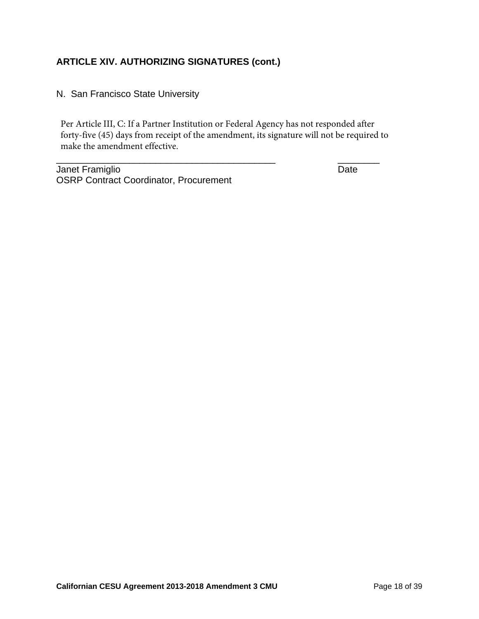N. San Francisco State University

Per Article III, C: If a Partner Institution or Federal Agency has not responded after forty-five (45) days from receipt of the amendment, its signature will not be required to make the amendment effective.

\_\_\_\_\_\_\_\_\_\_\_\_\_\_\_\_\_\_\_\_\_\_\_\_\_\_\_\_\_\_\_\_\_\_\_\_\_\_\_\_\_\_ \_\_\_\_\_\_\_\_

Janet Framiglio **Date** OSRP Contract Coordinator, Procurement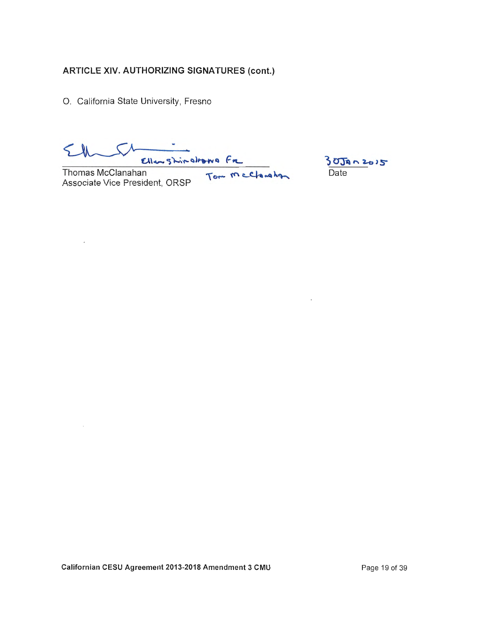O. California State University, Fresno

Ellenghinology Fre<br>an Tom McClanghan

Thomas McClanahan Associate Vice President, ORSP

 $\overline{\phantom{a}}$ 

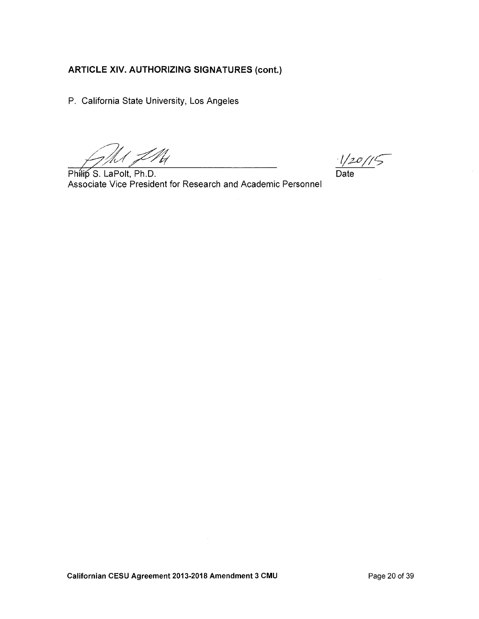P. California State University, Los Angeles

' LNH /h 1

Philip S. LaPolt, Ph.D. Associate Vice President for Research and Academic Personnel

 $1/20/15$ Date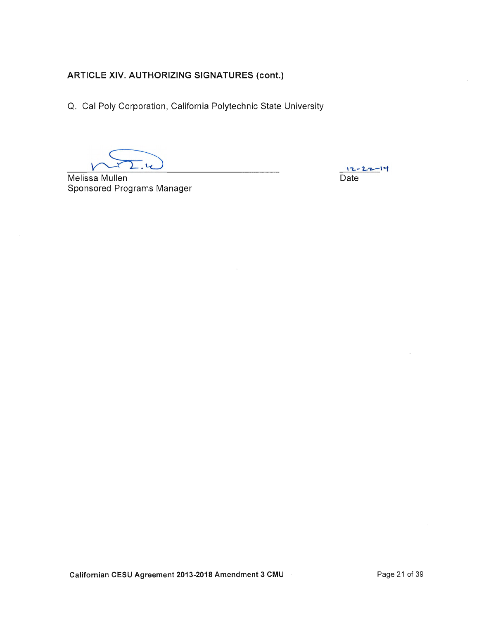Q. Cal Poly Corporation, California Polytechnic State University

 $\overline{\mathcal{U}}$ 

Melissa Mullen Sponsored Programs Manager

12 - 22 - 14 Date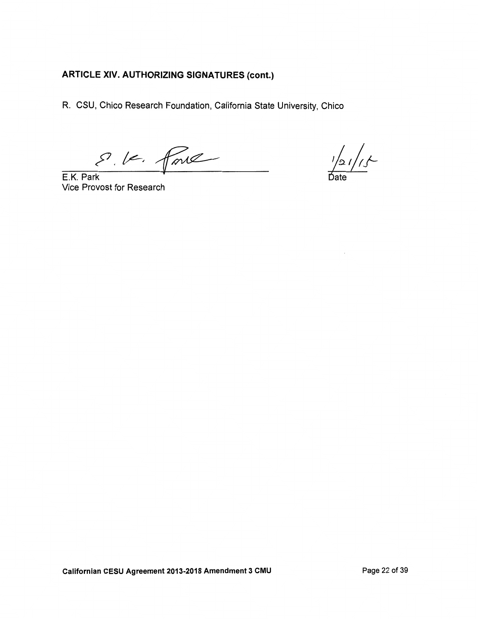R. CSU, Chico Research Foundation, California State University, Chico

S. V. force

 $\frac{1}{\text{Date}}/1.5$ 

E.K. Park Vice Provost for Research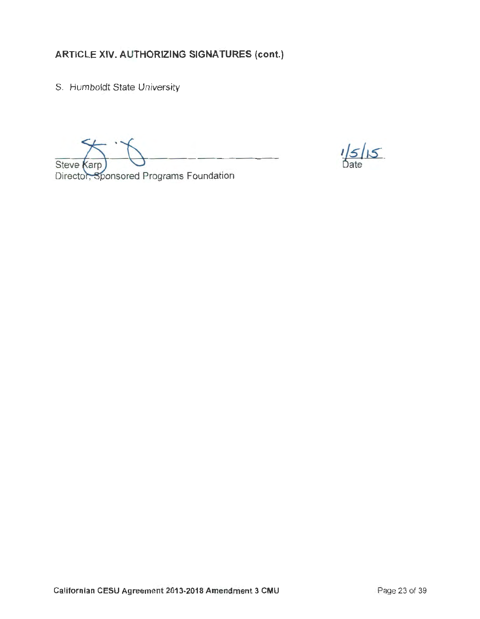S. Humboldt State University

**Steve Karp** 

Director, Sponsored Programs Foundation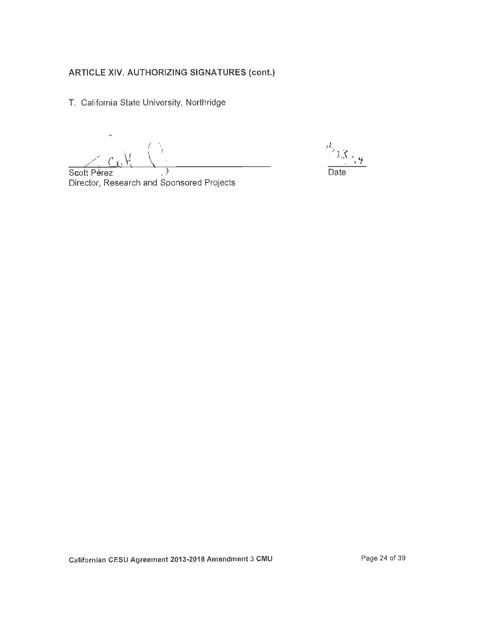T. California State University, Northridge

 $c_{4}$   $V_{1}$ Scott Pérez  $\mathcal{E}$ 

 $\sum_{i=1}^{N} \sum_{\substack{\lambda_i \neq \lambda_i \\ \lambda_i \neq \lambda_i}}$ Date

Director, Research and Sponsored Projects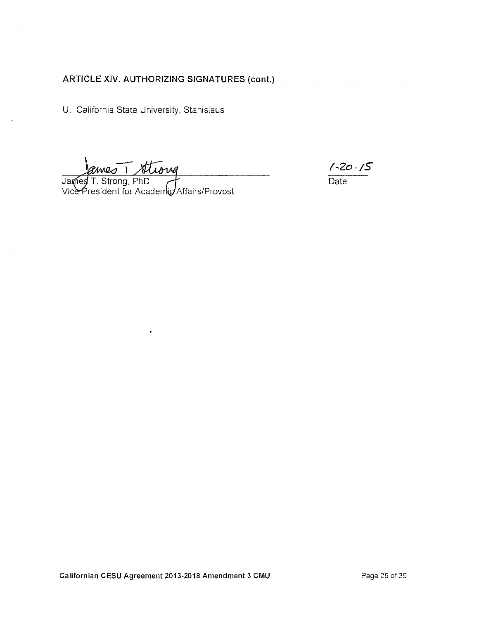U. California State University, Stanislaus

Armes 1 Atlong<br>T. Strong, PhD<br>resident for Academic Affairs/Provost James

 $\frac{7-20.75}{\text{Date}}$ 

Californian CESU Agreement 2013-2018 Amendment 3 CMU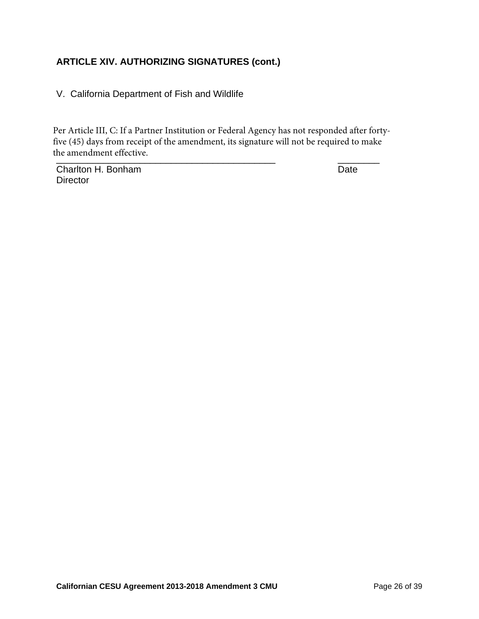V. California Department of Fish and Wildlife

 $\blacksquare$ Per Article III, C: If a Partner Institution or Federal Agency has not responded after fortyfive (45) days from receipt of the amendment, its signature will not be required to make the amendment effective.

**Charlton H. Bonham Date Director**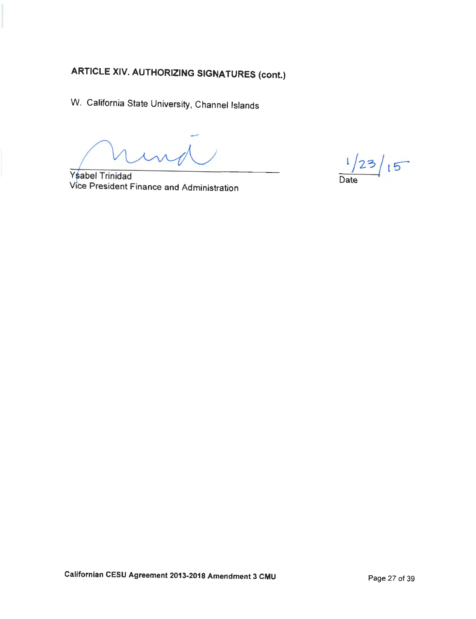W. California State University, Channel lslands

Ysabel Trinidad Vice President Finance and Administration

 $1/23/15$ Date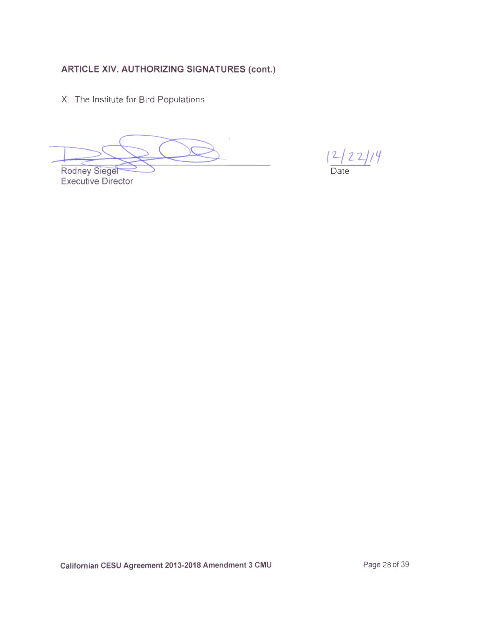X. The Institute for Bird Populations

Rodney Siegel

**Executive Director** 

 $\frac{[2/22]/4}{\text{Date}}$ 

Californian CESU Agreement 2013-2018 Amendment 3 CMU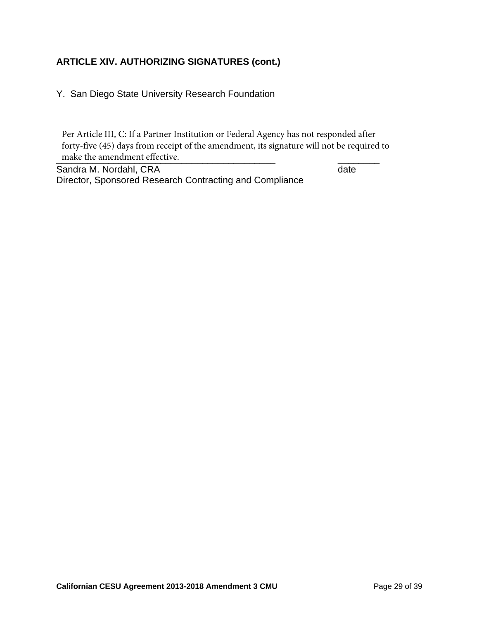Y. San Diego State University Research Foundation

make the amendment effective. Per Article III, C: If a Partner Institution or Federal Agency has not responded after forty-five (45) days from receipt of the amendment, its signature will not be required to

Sandra M. Nordahl, CRA date Director, Sponsored Research Contracting and Compliance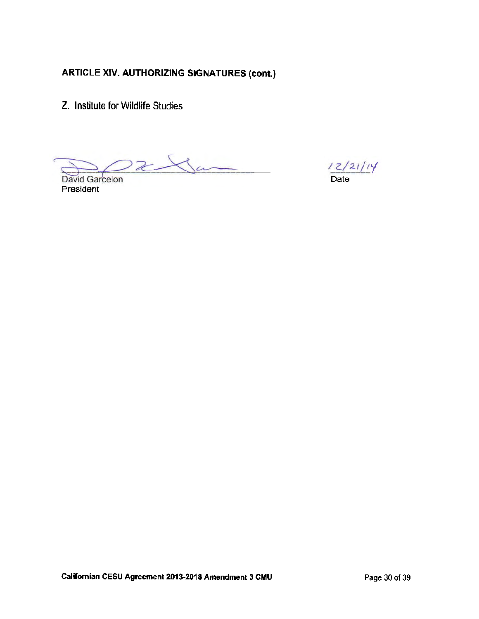Z. Institute for Wildlife Studies

 $22\lambda$ David Garcelon

President

/ Date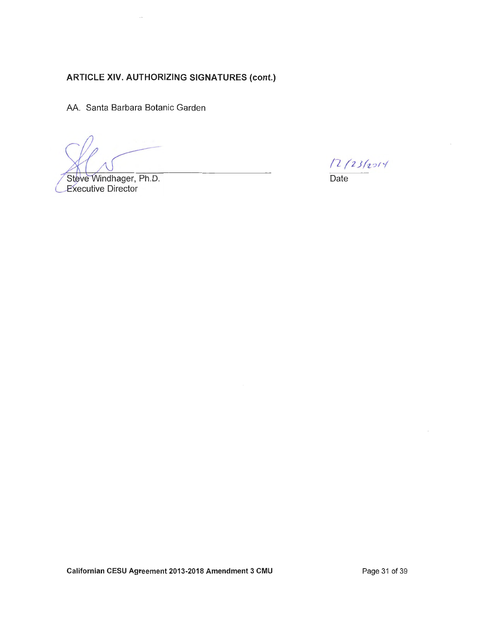AA. Santa Barbara Botanic Garden

Steve Windhager, Ph.D. **Executive Director** 

 $12/23/2014$ 

 $\overline{Date}$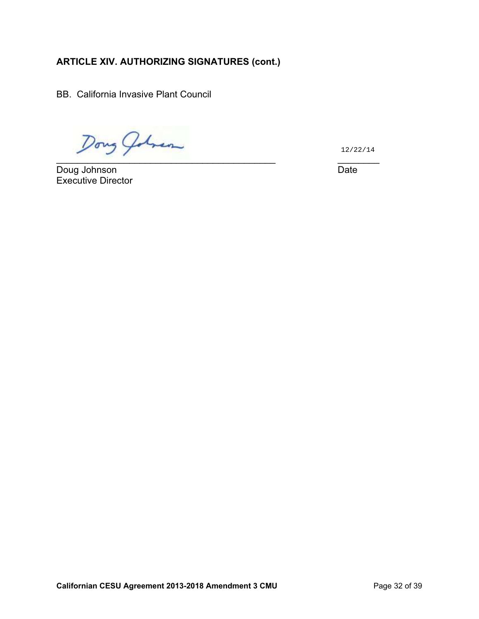BB. California Invasive Plant Council

 $\overline{\phantom{a}}$  ,  $\overline{\phantom{a}}$  ,  $\overline{\phantom{a}}$  ,  $\overline{\phantom{a}}$  ,  $\overline{\phantom{a}}$  ,  $\overline{\phantom{a}}$  ,  $\overline{\phantom{a}}$  ,  $\overline{\phantom{a}}$  ,  $\overline{\phantom{a}}$  ,  $\overline{\phantom{a}}$  ,  $\overline{\phantom{a}}$  ,  $\overline{\phantom{a}}$  ,  $\overline{\phantom{a}}$  ,  $\overline{\phantom{a}}$  ,  $\overline{\phantom{a}}$  ,  $\overline{\phantom{a}}$ 

Doug Johnson Date Doug Johnson Executive Director

12/22/14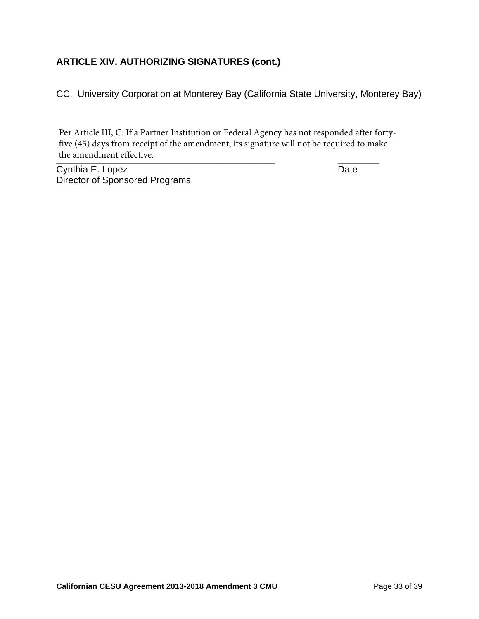CC. University Corporation at Monterey Bay (California State University, Monterey Bay)

the amendment effective. Per Article III, C: If a Partner Institution or Federal Agency has not responded after fortyfive (45) days from receipt of the amendment, its signature will not be required to make

Cynthia E. Lopez Date Director of Sponsored Programs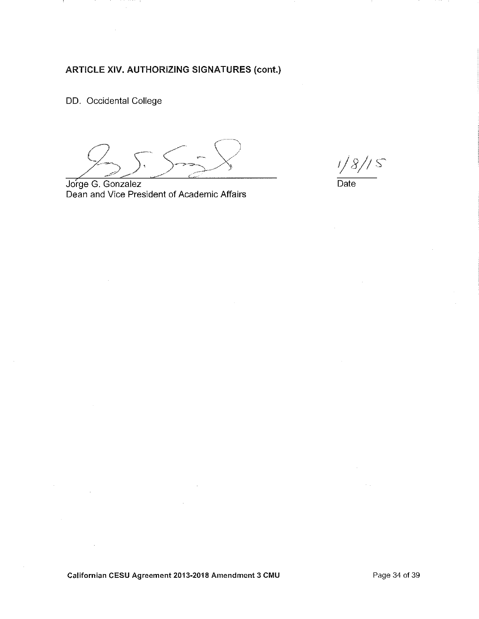DD. Occidental College

Jorge G. Gonzalez Dean and Vice President of Academic Affairs

 $1/8/15$ 

Date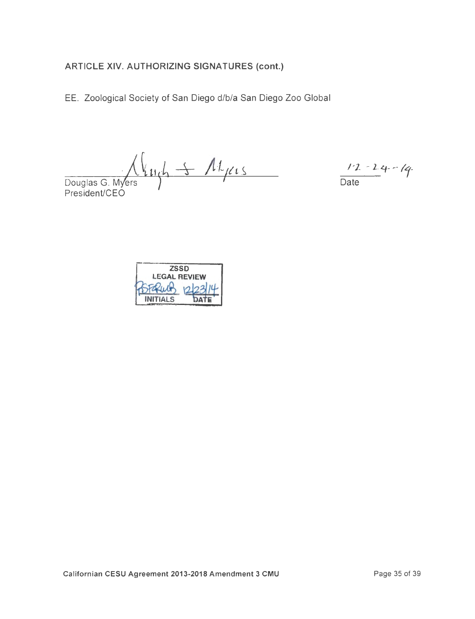EE. Zoological Society of San Diego d/b/a San Diego Zoo Global

 $\bigwedge_{\text{Douglas G. Myers}} \bigwedge_{\text{President/CEO}} \bigwedge_{\text{President}} \bigwedge_{\text{President}} \bigwedge_{\text{President}} \bigwedge_{\text{President}} \bigwedge_{\text{President}} \bigwedge_{\text{President}} \bigwedge_{\text{President}} \bigwedge_{\text{President}} \bigwedge_{\text{President}} \bigwedge_{\text{President}} \bigwedge_{\text{President}} \bigwedge_{\text{President}} \bigwedge_{\text{President}} \bigwedge_{\text{President}} \bigwedge_{\text{President}} \bigwedge_{\text{President$ 

 $12 - 24 - 14$ 

| <b>ZSSD</b>         |  |
|---------------------|--|
| <b>LEGAL REVIEW</b> |  |
|                     |  |
| <b>INITIALS</b>     |  |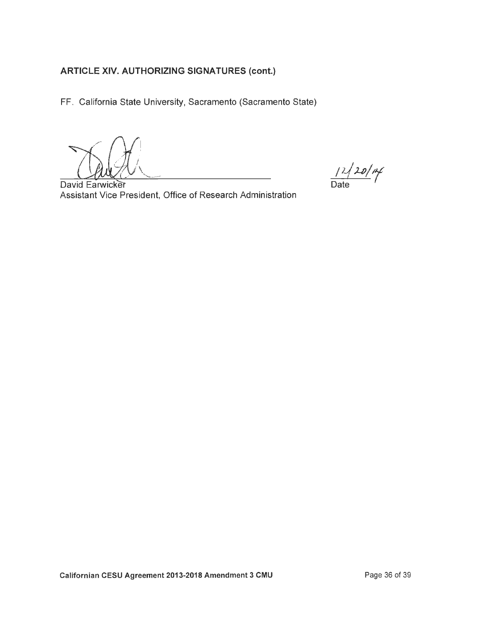FF. California State University, Sacramento (Sacramento State)

 $12/20/14$ 

David Earwicker Assistant Vice President, Office of Research Administration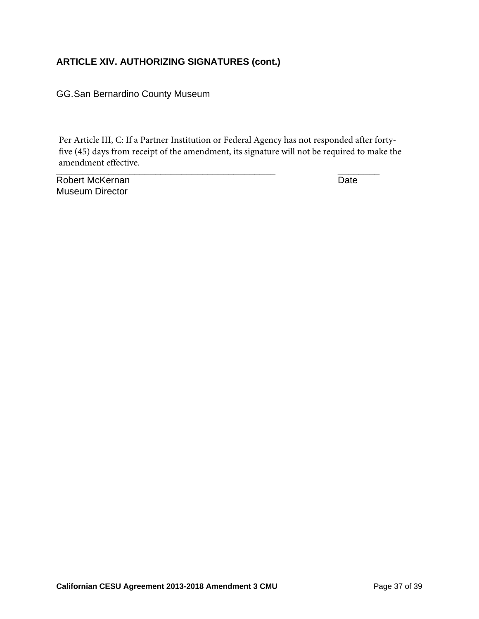GG. San Bernardino County Museum

\_\_\_\_\_\_\_\_\_\_\_\_\_\_\_\_\_\_\_\_\_\_\_\_\_\_\_\_\_\_\_\_\_\_\_\_\_\_\_\_\_\_ \_\_\_\_\_\_\_\_ Per Article III, C: If a Partner Institution or Federal Agency has not responded after fortyfive (45) days from receipt of the amendment, its signature will not be required to make the amendment effective.

Robert McKernan Date **Date** Museum Director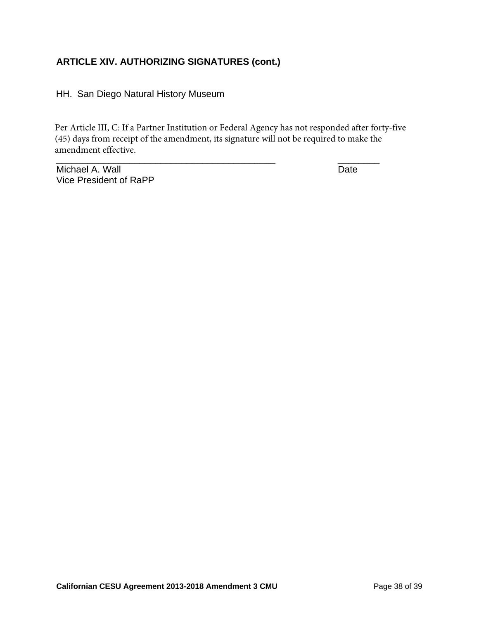HH. San Diego Natural History Museum

\_\_\_\_\_\_\_\_\_\_\_\_\_\_\_\_\_\_\_\_\_\_\_\_\_\_\_\_\_\_\_\_\_\_\_\_\_\_\_\_\_\_ \_\_\_\_\_\_\_\_ Per Article III, C: If a Partner Institution or Federal Agency has not responded after forty-five (45) days from receipt of the amendment, its signature will not be required to make the amendment effective.

Michael A. Wall **Date** Vice President of RaPP